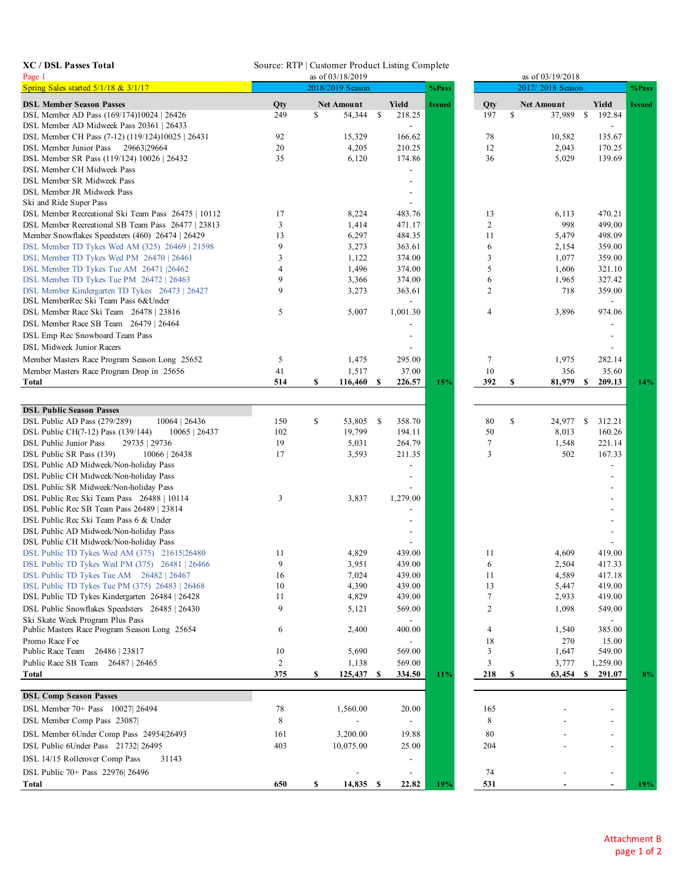| <b>XC / DSL Passes Total</b>                                                          | Source: RTP   Customer Product Listing Complete |    |                   |      |          |               |  |                                      |    |                   |    |                          |               |  |  |
|---------------------------------------------------------------------------------------|-------------------------------------------------|----|-------------------|------|----------|---------------|--|--------------------------------------|----|-------------------|----|--------------------------|---------------|--|--|
| Page 1<br>Spring Sales started 5/1/18 & 3/1/17                                        | as of 03/18/2019<br>2018/2019 Season<br>%Pass   |    |                   |      |          |               |  | as of 03/19/2018<br>2017/2018 Season |    |                   |    |                          |               |  |  |
|                                                                                       |                                                 |    |                   |      |          |               |  |                                      |    |                   |    |                          | %Pass         |  |  |
| <b>DSL Member Season Passes</b>                                                       | Qty                                             | \$ | <b>Net Amount</b> |      | Yield    | <b>Issued</b> |  | Qty<br>197                           | \$ | <b>Net Amount</b> | \$ | Yield                    | <b>Issued</b> |  |  |
| DSL Member AD Pass (169/174)10024   26426<br>DSL Member AD Midweek Pass 20361   26433 | 249                                             |    | 54,344            | -S   | 218.25   |               |  |                                      |    | 37,989            |    | 192.84                   |               |  |  |
| DSL Member CH Pass (7-12) (119/124)10025   26431                                      | 92                                              |    | 15,329            |      | 166.62   |               |  | 78                                   |    | 10,582            |    | 135.67                   |               |  |  |
| DSL Member Junior Pass<br>29663 29664                                                 | 20                                              |    | 4,205             |      | 210.25   |               |  | 12                                   |    | 2,043             |    | 170.25                   |               |  |  |
| DSL Member SR Pass (119/124) 10026   26432                                            | 35                                              |    | 6,120             |      | 174.86   |               |  | 36                                   |    | 5,029             |    | 139.69                   |               |  |  |
| DSL Member CH Midweek Pass                                                            |                                                 |    |                   |      |          |               |  |                                      |    |                   |    |                          |               |  |  |
| DSL Member SR Midweek Pass                                                            |                                                 |    |                   |      |          |               |  |                                      |    |                   |    |                          |               |  |  |
| DSL Member JR Midweek Pass                                                            |                                                 |    |                   |      |          |               |  |                                      |    |                   |    |                          |               |  |  |
| Ski and Ride Super Pass                                                               |                                                 |    |                   |      |          |               |  |                                      |    |                   |    |                          |               |  |  |
| DSL Member Recreational Ski Team Pass 26475   10112                                   | 17                                              |    | 8,224             |      | 483.76   |               |  | 13                                   |    | 6,113             |    | 470.21                   |               |  |  |
| DSL Member Recreational SB Team Pass 26477   23813                                    | 3                                               |    | 1,414             |      | 471.17   |               |  | $\overline{c}$                       |    | 998               |    | 499.00                   |               |  |  |
| Member Snowflakes Speedsters (460) 26474   26429                                      | 13                                              |    | 6,297             |      | 484.35   |               |  | 11                                   |    | 5,479             |    | 498.09                   |               |  |  |
| DSL Member TD Tykes Wed AM (325) 26469   21598                                        | 9                                               |    | 3,273             |      | 363.61   |               |  | 6                                    |    | 2,154             |    | 359.00                   |               |  |  |
| DSL Member TD Tykes Wed PM 26470   26461                                              | 3                                               |    | 1,122             |      | 374.00   |               |  | 3                                    |    | 1,077             |    | 359.00                   |               |  |  |
| DSL Member TD Tykes Tue AM 26471  26462                                               | 4                                               |    | 1,496             |      | 374.00   |               |  | 5                                    |    | 1,606             |    | 321.10                   |               |  |  |
| DSL Member TD Tykes Tue PM 26472   26463                                              | 9                                               |    | 3,366             |      | 374.00   |               |  | 6                                    |    | 1,965             |    | 327.42                   |               |  |  |
| DSL Member Kindergarten TD Tykes 26473   26427                                        | 9                                               |    | 3,273             |      | 363.61   |               |  | 2                                    |    | 718               |    | 359.00                   |               |  |  |
| DSL MemberRec Ski Team Pass 6&Under<br>DSL Member Race Ski Team 26478   23816         | 5                                               |    | 5,007             |      | 1,001.30 |               |  | 4                                    |    | 3,896             |    | 974.06                   |               |  |  |
| DSL Member Race SB Team 26479   26464                                                 |                                                 |    |                   |      |          |               |  |                                      |    |                   |    |                          |               |  |  |
|                                                                                       |                                                 |    |                   |      |          |               |  |                                      |    |                   |    |                          |               |  |  |
| DSL Emp Rec Snowboard Team Pass                                                       |                                                 |    |                   |      |          |               |  |                                      |    |                   |    |                          |               |  |  |
| <b>DSL Midweek Junior Racers</b>                                                      |                                                 |    |                   |      |          |               |  |                                      |    |                   |    |                          |               |  |  |
| Member Masters Race Program Season Long 25652                                         | 5                                               |    | 1,475             |      | 295.00   |               |  | 7                                    |    | 1,975             |    | 282.14                   |               |  |  |
| Member Masters Race Program Drop in 25656                                             | 41                                              |    | 1,517             |      | 37.00    |               |  | 10                                   |    | 356               |    | 35.60                    |               |  |  |
| <b>Total</b>                                                                          | 514                                             | \$ | 116,460           | S    | 226.57   | <b>15%</b>    |  | 392                                  | S  | 81,979            | -S | 209.13                   | 14%           |  |  |
|                                                                                       |                                                 |    |                   |      |          |               |  |                                      |    |                   |    |                          |               |  |  |
| <b>DSL Public Season Passes</b>                                                       |                                                 |    |                   |      |          |               |  |                                      |    |                   |    |                          |               |  |  |
| 10064   26436<br>DSL Public AD Pass (279/289)                                         | 150                                             | \$ | 53,805 \$         |      | 358.70   |               |  | 80                                   | \$ | 24,977            | \$ | 312.21                   |               |  |  |
| 10065   26437<br>DSL Public CH(7-12) Pass (139/144)                                   | 102                                             |    | 19,799            |      | 194.11   |               |  | 50                                   |    | 8,013             |    | 160.26                   |               |  |  |
| 29735   29736<br>DSL Public Junior Pass<br>10066   26438                              | 19<br>17                                        |    | 5,031             |      | 264.79   |               |  | 7<br>3                               |    | 1,548<br>502      |    | 221.14<br>167.33         |               |  |  |
| DSL Public SR Pass (139)<br>DSL Public AD Midweek/Non-holiday Pass                    |                                                 |    | 3,593             |      | 211.35   |               |  |                                      |    |                   |    |                          |               |  |  |
| DSL Public CH Midweek/Non-holiday Pass                                                |                                                 |    |                   |      |          |               |  |                                      |    |                   |    |                          |               |  |  |
| DSL Public SR Midweek/Non-holiday Pass                                                |                                                 |    |                   |      |          |               |  |                                      |    |                   |    |                          |               |  |  |
| DSL Public Rec Ski Team Pass 26488   10114                                            | 3                                               |    | 3,837             |      | 1,279.00 |               |  |                                      |    |                   |    | $\overline{\phantom{a}}$ |               |  |  |
| DSL Public Rec SB Team Pass 26489   23814                                             |                                                 |    |                   |      |          |               |  |                                      |    |                   |    |                          |               |  |  |
| DSL Public Rec Ski Team Pass 6 & Under                                                |                                                 |    |                   |      |          |               |  |                                      |    |                   |    |                          |               |  |  |
| DSL Public AD Midweek/Non-holiday Pass                                                |                                                 |    |                   |      |          |               |  |                                      |    |                   |    |                          |               |  |  |
| DSL Public CH Midweek/Non-holiday Pass                                                |                                                 |    |                   |      |          |               |  |                                      |    |                   |    |                          |               |  |  |
| DSL Public TD Tykes Wed AM (375) 21615 26480                                          | 11                                              |    | 4,829             |      | 439.00   |               |  | 11                                   |    | 4,609             |    | 419.00                   |               |  |  |
| DSL Public TD Tykes Wed PM (375) 26481   26466                                        | 9                                               |    | 3,951             |      | 439.00   |               |  | 6                                    |    | 2,504             |    | 417.33                   |               |  |  |
| DSL Public TD Tykes Tue AM 26482   26467                                              | 16                                              |    | 7,024             |      | 439.00   |               |  | 11                                   |    | 4,589             |    | 417.18                   |               |  |  |
| DSL Public TD Tykes Tue PM (375) 26483   26468                                        | 10                                              |    | 4,390             |      | 439.00   |               |  | 13                                   |    | 5,447             |    | 419.00                   |               |  |  |
| DSL Public TD Tykes Kindergarten 26484   26428                                        | 11                                              |    | 4,829             |      | 439.00   |               |  | 7                                    |    | 2,933             |    | 419.00                   |               |  |  |
| DSL Public Snowflakes Speedsters 26485   26430                                        | 9                                               |    | 5,121             |      | 569.00   |               |  | 2                                    |    | 1,098             |    | 549.00                   |               |  |  |
| Ski Skate Week Program Plus Pass                                                      |                                                 |    |                   |      |          |               |  |                                      |    |                   |    |                          |               |  |  |
| Public Masters Race Program Season Long 25654                                         | 6                                               |    | 2,400             |      | 400.00   |               |  | 4                                    |    | 1,540             |    | 385.00                   |               |  |  |
| Promo Race Fee                                                                        |                                                 |    |                   |      |          |               |  | 18                                   |    | 270               |    | 15.00                    |               |  |  |
| Public Race Team 26486   23817                                                        | 10                                              |    | 5,690             |      | 569.00   |               |  | 3                                    |    | 1,647             |    | 549.00                   |               |  |  |
| Public Race SB Team 26487   26465                                                     | $\overline{c}$                                  |    | 1,138             |      | 569.00   |               |  | 3                                    |    | 3,777             |    | 1,259.00                 |               |  |  |
| Total                                                                                 | 375                                             | S  | 125,437           | - \$ | 334.50   | $11\%$        |  | 218                                  | S  | 63,454            | S  | 291.07                   | $8\%$         |  |  |
| <b>DSL Comp Season Passes</b>                                                         |                                                 |    |                   |      |          |               |  |                                      |    |                   |    |                          |               |  |  |
| DSL Member 70+ Pass 10027  26494                                                      | 78                                              |    | 1,560.00          |      | 20.00    |               |  | 165                                  |    |                   |    |                          |               |  |  |
| DSL Member Comp Pass 23087                                                            | 8                                               |    |                   |      |          |               |  | 8                                    |    |                   |    |                          |               |  |  |
| DSL Member 6Under Comp Pass 24954 26493                                               | 161                                             |    | 3,200.00          |      | 19.88    |               |  | 80                                   |    |                   |    |                          |               |  |  |
|                                                                                       |                                                 |    |                   |      |          |               |  |                                      |    |                   |    |                          |               |  |  |
| DSL Public 6Under Pass 21732 26495                                                    | 403                                             |    | 10,075.00         |      | 25.00    |               |  | 204                                  |    |                   |    | $\overline{\phantom{a}}$ |               |  |  |
| DSL 14/15 Rollerover Comp Pass<br>31143                                               |                                                 |    |                   |      |          |               |  |                                      |    |                   |    |                          |               |  |  |
| DSL Public 70+ Pass 22976 26496                                                       |                                                 |    |                   |      |          |               |  | 74                                   |    |                   |    | $\overline{\phantom{a}}$ |               |  |  |
| Total                                                                                 | 650                                             | \$ | 14,835 \$         |      | 22.82    | 19%           |  | 531                                  |    |                   |    |                          | 19%           |  |  |